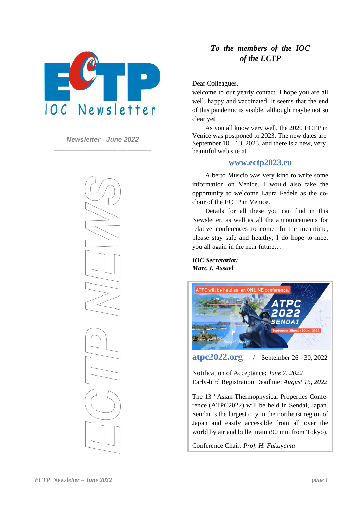

*Newsletter - June 2022* **\_\_\_\_\_\_\_\_\_\_\_\_\_\_\_\_\_\_\_\_\_\_\_\_\_\_\_\_\_**



## *To the members of the IOC of the ECTP*

Dear Colleagues,

welcome to our yearly contact. I hope you are all well, happy and vaccinated. It seems that the end of this pandemic is visible, although maybe not so clear yet.

As you all know very well, the 2020 ECTP in Venice was postponed to 2023. The new dates are September  $10 - 13$ , 2023, and there is a new, very beautiful web site at

## **www.ectp2023.eu**

Alberto Muscio was very kind to write some information on Venice. I would also take the opportunity to welcome Laura Fedele as the cochair of the ECTP in Venice.

Details for all these you can find in this Newsletter, as well as all the announcements for relative conferences to come. In the meantime, please stay safe and healthy, I do hope to meet you all again in the near future…

*IOC Secretariat: Marc J. Assael*



**atpc2022.org** / September 26 - 30, 2022

Notification of Acceptance: *June 7, 2022* Early-bird Registration Deadline: *August 15, 2022*

The 13<sup>th</sup> Asian Thermophysical Properties Conference (ATPC2022) will be held in Sendai, Japan. Sendai is the largest city in the northeast region of Japan and easily accessible from all over the world by air and bullet train (90 min from Tokyo).

Conference Chair: *Prof. H. Fukuyama*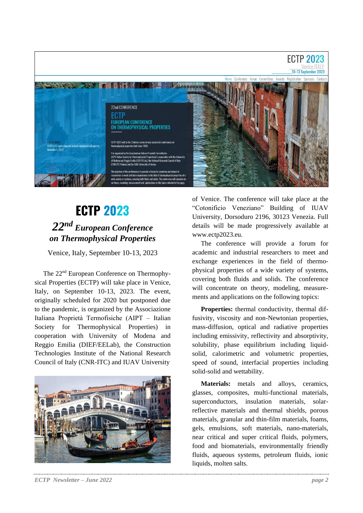

## **ECTP 2023** *22 nd European Conference on Thermophysical Properties*

Venice, Italy, September 10-13, 2023

The 22<sup>nd</sup> European Conference on Thermophysical Properties (ECTP) will take place in Venice, Italy, on September 10-13, 2023. The event, originally scheduled for 2020 but postponed due to the pandemic, is organized by the Associazione Italiana Proprietà Termofisiche (AIPT – Italian Society for Thermophysical Properties) in cooperation with University of Modena and Reggio Emilia (DIEF/EELab), the Construction Technologies Institute of the National Research Council of Italy (CNR-ITC) and IUAV University



*ECTP Newsletter – June 2022 page 2*

of Venice. The conference will take place at the "Cotonificio Veneziano" Building of IUAV University, Dorsoduro 2196, 30123 Venezia. Full details will be made progressively available at www.ectp2023.eu.

The conference will provide a forum for academic and industrial researchers to meet and exchange experiences in the field of thermophysical properties of a wide variety of systems, covering both fluids and solids. The conference will concentrate on theory, modeling, measurements and applications on the following topics:

Properties: thermal conductivity, thermal diffusivity, viscosity and non-Newtonian properties, mass-diffusion, optical and radiative properties including emissivity, reflectivity and absorptivity, solubility, phase equilibrium including liquidsolid, calorimetric and volumetric properties, speed of sound, interfacial properties including solid-solid and wettability.

**Materials:** metals and alloys, ceramics, glasses, composites, multi-functional materials, superconductors, insulation materials, solarreflective materials and thermal shields, porous materials, granular and thin-film materials, foams, gels, emulsions, soft materials, nano-materials, near critical and super critical fluids, polymers, food and biomaterials, environmentally friendly fluids, aqueous systems, petroleum fluids, ionic liquids, molten salts.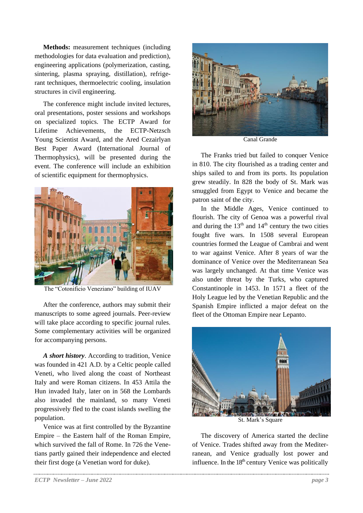**Methods:** measurement techniques (including methodologies for data evaluation and prediction), engineering applications (polymerization, casting, sintering, plasma spraying, distillation), refrigerant techniques, thermoelectric cooling, insulation structures in civil engineering.

The conference might include invited lectures, oral presentations, poster sessions and workshops on specialized topics. The ECTP Award for Lifetime Achievements, the ECTP-Netzsch Young Scientist Award, and the Ared Cezairlyan Best Paper Award (International Journal of Thermophysics), will be presented during the event. The conference will include an exhibition of scientific equipment for thermophysics.



The "Cotonificio Veneziano" building of IUAV

After the conference, authors may submit their manuscripts to some agreed journals. Peer-review will take place according to specific journal rules. Some complementary activities will be organized for accompanying persons.

*A short history*. According to tradition, Venice was founded in 421 A.D. by a Celtic people called Veneti, who lived along the coast of Northeast Italy and were Roman citizens. In 453 Attila the Hun invaded Italy, later on in 568 the Lombards also invaded the mainland, so many Veneti progressively fled to the coast islands swelling the population.

Venice was at first controlled by the Byzantine Empire – the Eastern half of the Roman Empire, which survived the fall of Rome. In 726 the Venetians partly gained their independence and elected their first doge (a Venetian word for duke).



Canal Grande

The Franks tried but failed to conquer Venice in 810. The city flourished as a trading center and ships sailed to and from its ports. Its population grew steadily. In 828 the body of St. Mark was smuggled from Egypt to Venice and became the patron saint of the city.

In the Middle Ages, Venice continued to flourish. The city of Genoa was a powerful rival and during the  $13<sup>th</sup>$  and  $14<sup>th</sup>$  century the two cities fought five wars. In 1508 several European countries formed the League of Cambrai and went to war against Venice. After 8 years of war the dominance of Venice over the Mediterranean Sea was largely unchanged. At that time Venice was also under threat by the Turks, who captured Constantinople in 1453. In 1571 a fleet of the Holy League led by the Venetian Republic and the Spanish Empire inflicted a major defeat on the fleet of the Ottoman Empire near Lepanto.



St. Mark's Square

The discovery of America started the decline of Venice. Trades shifted away from the Mediterranean, and Venice gradually lost power and influence. In the  $18<sup>th</sup>$  century Venice was politically